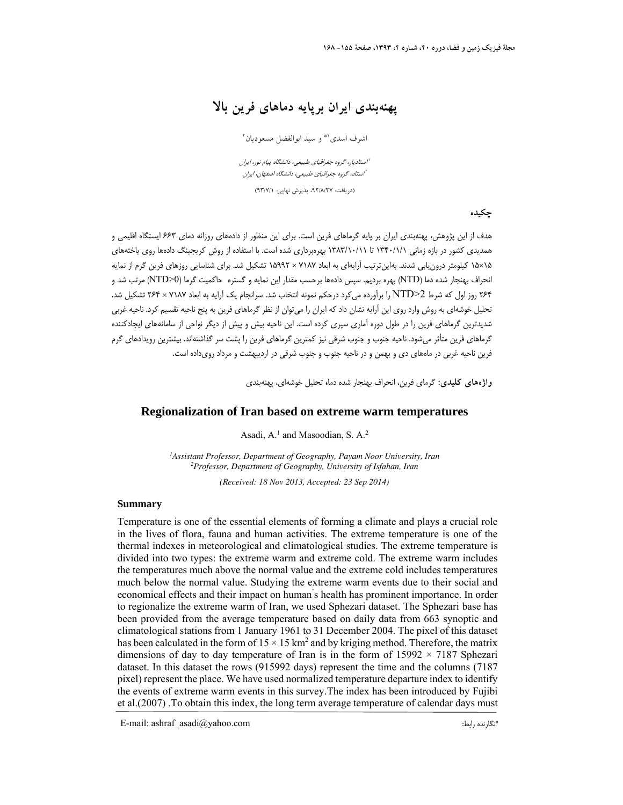## **پهنهبندي ايران برپايه دماهاي فرين بالا**

اشرف اسدي <sup>(\*</sup> و سيد ابوالفضل مسعوديان <sup>٢</sup>

استاديار، گروه جغرافياي طبيعي، دانشگاه پيام نور، ايران <sup>1</sup> استاد، گروه جغرافياي طبيعي، دانشگاه اصفهان، ايران <sup>2</sup>

(دريافت: ٩٢/٨/٢٧، پذيرش نهايي: ٩٣/٧/١)

**چكيده** 

هدف از اين پژوهش، پهنهبندي ايران بر پايه گرماهاي فرين است. براي اين منظور از دادههاي روزانه دماي 663 ايستگاه اقليمي و همديدي كشور در بازه زماني 1340/1/1 تا 1383/10/11 بهرهبرداري شده است. با استفاده از روش كريجينگ دادهها روي ياختههاي 15×15 كيلومتر درونيابي شدند. بهاينترتيب آرايهاي به ابعاد 7187 × 15992 تشكيل شد. براي شناسايي روزهاي فرين گرم از نمايه انحراف بهنجار شده دما (NTD (بهره برديم. سپس دادهها برحسب مقدار اين نمايه و گستره حاكميت گرما (0<NTD (مرتب شد و 264 روز اول كه شرط 2<NTD را برآورده ميكرد درحكم نمونه انتخاب شد. سرانجام يك آرايه به ابعاد 7187 × 264 تشكيل شد. تحليل خوشهاي به روش وارد روي اين آرايه نشان داد كه ايران را ميتوان از نظر گرماهاي فرين به پنج ناحيه تقسيم كرد. ناحيه غربي شديدترين گرماهاي فرين را در طول دوره آماري سپري كرده است. اين ناحيه بيش و پيش از ديگر نواحي از سامانههاي ايجادكننده گرماهاي فرين متأثر ميشود. ناحيه جنوب و جنوب شرقي نيز كمترين گرماهاي فرين را پشت سر گذاشتهاند. بيشترين رويدادهاي گرم فرين ناحيه غربي در ماههاي دي و بهمن و در ناحيه جنوب و جنوب شرقي در ارديبهشت و مرداد رويداده است.

**واژههاي كليدي:** گرماي فرين، انحراف بهنجار شده دما**،** تحليل خوشهاي، پهنهبندي

#### **Regionalization of Iran based on extreme warm temperatures**

Asadi, A.<sup>1</sup> and Masoodian, S. A.<sup>2</sup>

*Assistant Professor, Department of Geography, Payam Noor University, Iran <sup>1</sup> 2 Professor, Department of Geography, University of Isfahan, Iran* 

*(Received: 18 Nov 2013, Accepted: 23 Sep 2014)*

#### **Summary**

Temperature is one of the essential elements of forming a climate and plays a crucial role in the lives of flora, fauna and human activities. The extreme temperature is one of the thermal indexes in meteorological and climatological studies. The extreme temperature is divided into two types: the extreme warm and extreme cold. The extreme warm includes the temperatures much above the normal value and the extreme cold includes temperatures much below the normal value. Studying the extreme warm events due to their social and economical effects and their impact on human' s health has prominent importance. In order to regionalize the extreme warm of Iran, we used Sphezari dataset. The Sphezari base has been provided from the average temperature based on daily data from 663 synoptic and climatological stations from 1 January 1961 to 31 December 2004. The pixel of this dataset has been calculated in the form of  $15 \times 15 \text{ km}^2$  and by kriging method. Therefore, the matrix dimensions of day to day temperature of Iran is in the form of  $15992 \times 7187$  Sphezari dataset. In this dataset the rows (915992 days) represent the time and the columns (7187 pixel) represent the place. We have used normalized temperature departure index to identify the events of extreme warm events in this survey.The index has been introduced by Fujibi et al.(2007) .To obtain this index, the long term average temperature of calendar days must

\* E-mail: ashraf\_asadi@yahoo.com :رابط نگارنده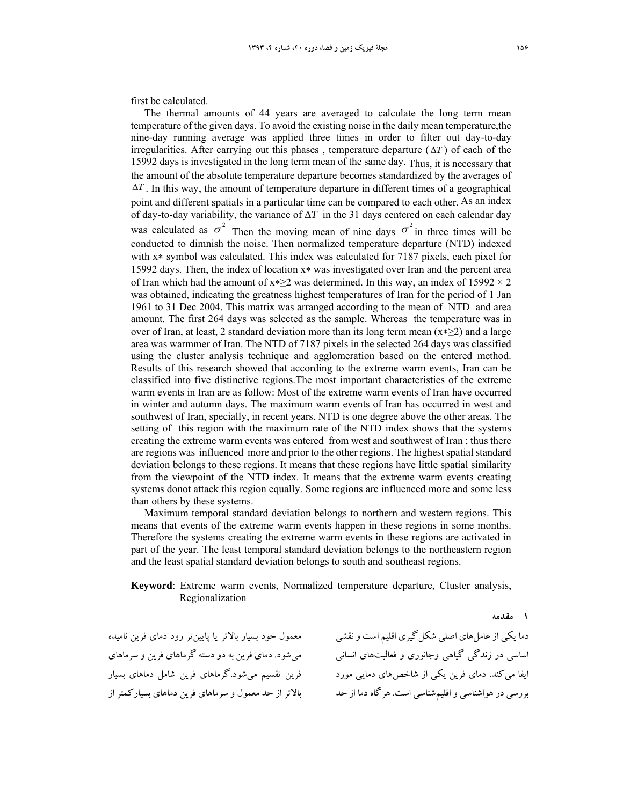first be calculated.

The thermal amounts of 44 years are averaged to calculate the long term mean temperature of the given days. To avoid the existing noise in the daily mean temperature,the nine-day running average was applied three times in order to filter out day-to-day irregularities. After carrying out this phases, temperature departure  $(\Delta T)$  of each of the 15992 days is investigated in the long term mean of the same day. Thus, it is necessary that the amount of the absolute temperature departure becomes standardized by the averages of  $\Delta T$ . In this way, the amount of temperature departure in different times of a geographical point and different spatials in a particular time can be compared to each other. As an index of day-to-day variability, the variance of  $\Delta T$  in the 31 days centered on each calendar day was calculated as  $\sigma^2$  Then the moving mean of nine days  $\sigma^2$  in three times will be conducted to dimnish the noise. Then normalized temperature departure (NTD) indexed with  $x*$  symbol was calculated. This index was calculated for 7187 pixels, each pixel for 15992 days. Then, the index of location  $x^*$  was investigated over Iran and the percent area of Iran which had the amount of  $x \ge 2$  was determined. In this way, an index of 15992  $\times$  2 was obtained, indicating the greatness highest temperatures of Iran for the period of 1 Jan 1961 to 31 Dec 2004. This matrix was arranged according to the mean of NTD and area amount. The first 264 days was selected as the sample. Whereas the temperature was in over of Iran, at least, 2 standard deviation more than its long term mean  $(x \ge 2)$  and a large area was warmmer of Iran. The NTD of 7187 pixels in the selected 264 days was classified using the cluster analysis technique and agglomeration based on the entered method. Results of this research showed that according to the extreme warm events, Iran can be classified into five distinctive regions.The most important characteristics of the extreme warm events in Iran are as follow: Most of the extreme warm events of Iran have occurred in winter and autumn days. The maximum warm events of Iran has occurred in west and southwest of Iran, specially, in recent years. NTD is one degree above the other areas. The setting of this region with the maximum rate of the NTD index shows that the systems creating the extreme warm events was entered from west and southwest of Iran ; thus there are regions was influenced more and prior to the other regions. The highest spatial standard deviation belongs to these regions. It means that these regions have little spatial similarity from the viewpoint of the NTD index. It means that the extreme warm events creating systems donot attack this region equally. Some regions are influenced more and some less than others by these systems.

Maximum temporal standard deviation belongs to northern and western regions. This means that events of the extreme warm events happen in these regions in some months. Therefore the systems creating the extreme warm events in these regions are activated in part of the year. The least temporal standard deviation belongs to the northeastern region and the least spatial standard deviation belongs to south and southeast regions.

#### **Keyword**: Extreme warm events, Normalized temperature departure, Cluster analysis, Regionalization

**1 مقدمه** 

معمول خود بسيار بالاتر يا پايينتر رود دماي فرين ناميده ميشود. دماي فرين به دو دسته گرماهاي فرين و سرماهاي فرين تقسيم ميشود.گرماهاي فرين شامل دماهاي بسيار بالاتر از حد معمول و سرماهاي فرين دماهاي بسياركمتر از

دما يكي از عامل&اي اصلي شكل گيري اقليم است و نقشي اساسي در زندگي گياهي وجانوري و فعاليتهاي انساني ايفا ميكند. دماي فرين يكي از شاخصهاي دمايي مورد بررسي درهواشناسي واقليمشناسي است. هرگاهدما از حد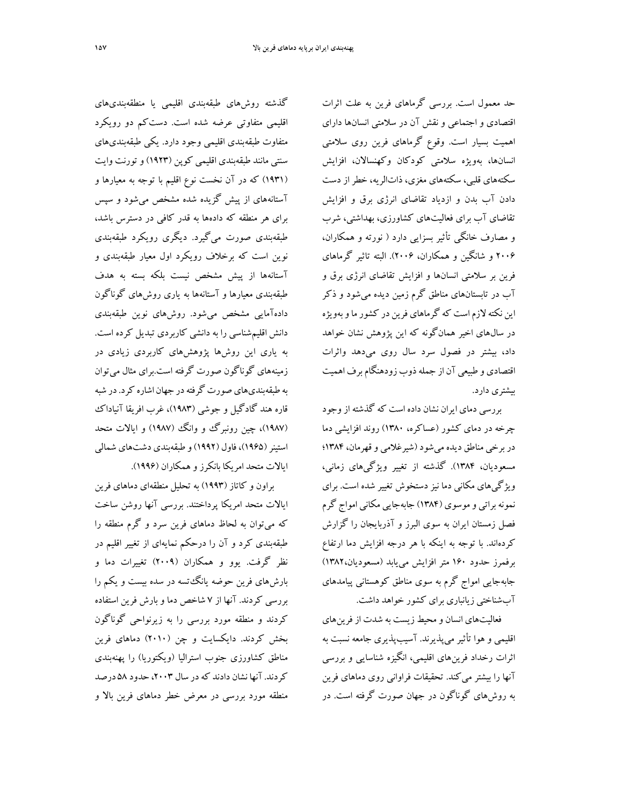حد معمول است. بررسي گرماهاي فرين به علت اثرات اقتصادي و اجتماعي و نقش آن در سلامتي انسانها داراي اهميت بسيار است. وقوع گرماهاي فرين روي سلامتي انسانها، بهويژه سلامتي كودكان وكهنسالان، افزايش سكتههاي قلبي، سكتههاي مغزي، ذاتالريه، خطر از دست دادن آب بدن و ازدياد تقاضاي انرژي برق و افزايش تقاضاي آب براي فعاليتهاي كشاورزي، بهداشتي، شرب و مصارف خانگي تأثير بسزايي دارد ( نورته و همكاران، 2006 و شانگين و همكاران، 2006). البته تاثير گرماهاي فرين بر سلامتي انسانها و افزايش تقاضاي انرژي برق و آب در تابستانهاي مناطق گرم زمين ديده ميشود و ذكر اين نكته لازماست كه گرماهاي فرين در كشورماوبهويژه در سالهاي اخير همانگونه كه اين پژوهش نشان خواهد داد، بيشتر در فصول سرد سال روي ميدهد واثرات اقتصادي و طبيعي آن از جملهذوب زودهنگامبرف اهميت بيشتري دارد.

بررسي دماي ايران نشان داده است كه گذشته ازوجود چرخه در دماي كشور (عساكره، 1380) روند افزايشي دما دربرخي مناطق ديده ميشود(شيرغلامي وقهرمان، 1384؛ مسعوديان، 1384). گذشته از تغيير ويژگيهاي زماني، ويژگيهاي مكاني دما نيز دستخوش تغيير شده است. براي نمونه براتي و موسوي (۱۳۸۴) جابهجايي مكاني امواج گرم فصل زمستان ايران به سوي البرز و آذربايجان را گزارش كردهاند. با توجه به اينكه با هر درجه افزايش دما ارتفاع برفمرز حدود 160 متر افزايش مييابد (مسعوديان1382،) جابهجايي امواج گرم به سوي مناطق كوهستاني پيامدهاي آبشناختي زيانباري براي كشور خواهد داشت.

فعاليتهاي انسان ومحيط زيست به شدت از فرينهاي اقليمي و هوا تأثير ميپذيرند. آسيبپذيري جامعه نسبت به اثرات رخداد فرينهاي اقليمي، انگيزه شناسايي و بررسي آنها را بيشتر ميكند. تحقيقات فراواني روي دماهاي فرين به روشهاي گوناگون در جهان صورت گرفته است. در

گذشته روشهاي طبقهبندي اقليمي يا منطقهبنديهاي اقليمي متفاوتي عرضه شده است. دستكم دو رويكرد متفاوت طبقهبندي اقليمي وجود دارد. يكي طبقهبنديهاي سنتي مانند طبقهبندي اقليمي كوپن (1923)وتورنت وايت (1931) كه در آن نخست نوع اقليم با توجه به معيارها و آستانههاي از پيش گزيده شده مشخص ميشود و سپس براي هر منطقه كه دادهها به قدر كافي در دسترس باشد، طبقهبندي صورت ميگيرد. ديگري رويكرد طبقهبندي نوين است كه برخلاف رويكرد اول معيار طبقهبندي و آستانهها از پيش مشخص نيست بلكه بسته به هدف طبقهبندي معيارها و آستانهها به ياري روشهاي گوناگون دادهآمايي مشخص ميشود. روشهاي نوين طبقهبندي دانش اقليمشناسي را به دانشي كاربردي تبديل كرده است. به ياري اين روشها پژوهشهاي كاربردي زيادي در زمينههاي گوناگون صورت گرفته است.براي مثال ميتوان به طبقهبنديهاي صورت گرفته در جهان اشاره كرد. در شبه قاره هند گادگيل و جوشي (1983)، غرب افريقا آنياداك (١٩٨٧)، چين رونبرگ وو انگ (١٩٨٧) و ايالات متحد استينر(1965)، فاول (1992)و طبقهبندي دشتهاي شمالي ايالات متحد امريكا بانكرز و همكاران (1996).

براون و كاتاز (1993) به تحليل منطقهاي دماهاي فرين ايالات متحد امريكا پرداختند. بررسي آنها روشن ساخت كه ميتوان به لحاظ دماهاي فرين سرد و گرم منطقه را طبقهبندي كرد و آن را درحكم نمايهاي از تغيير اقليم در نظر گرفت. يوو و همكاران (2009) تغييرات دما و بارشهاي فرين حوضه يانگتسه در سده بيست و يكم را بررسي كردند. آنها از 7 شاخص دما و بارش فرين استفاده كردند و منطقه مورد بررسي را به زيرنواحي گوناگون بخش كردند. دايكسايت و چن (2010) دماهاي فرين مناطق كشاورزي جنوب استراليا (ويكتوريا) را پهنهبندي كردند. آنها نشان دادند كه در سال ۲۰۰۳، حدود ۵۸ درصد منطقه مورد بررسي در معرض خطر دماهاي فرين بالا و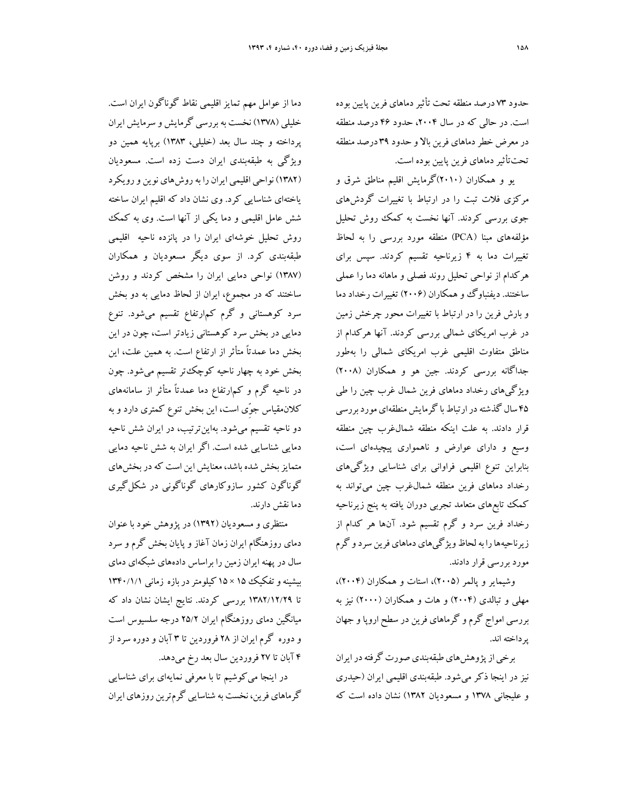حدود ٧٣ درصد منطقه تحت تأثير دماهاي فرين پايين بوده است. در حالي كه در سال ۲۰۰۴، حدود ۴۶ درصد منطقه درمعرض خطردماهاي فرين بالا و حدود 39 درصد منطقه تحتتأثيردماهاي فرين پايين بوده است.

يو و همكاران (2010)گرمايش اقليم مناطق شرق و مركزي فلات تبت را در ارتباط با تغييرات گردشهاي جوي بررسي كردند. آنها نخست به كمك روش تحليل مؤلفههاي مبنا (PCA (منطقه مورد بررسي را به لحاظ تغييرات دما به 4 زيرناحيه تقسيم كردند. سپس براي هركدام از نواحي تحليل روند فصلي و ماهانه دما را عملي ساختند. ديفنباوگ و همكاران (۲۰۰۶) تغييرات رخداد دما و بارش فرين را در ارتباط با تغييرات محور چرخش زمين در غرب امريكاي شمالي بررسي كردند. آنها هركدام از مناطق متفاوت اقليمي غرب امريكاي شمالي را بهطور جداگانه بررسي كردند. جين هو و همكاران (2008) ويژگيهاي رخداد دماهاي فرين شمال غرب چين را طي ۴۵ سال گذشته در ارتباط با گرمايش منطقهاي مورد بررسي قرار دادند. به علت اينكه منطقه شمالغرب چين منطقه وسيع و داراي عوارض و ناهمواري پيچيدهاي است، بنابراين تنوع اقليمي فراواني براي شناسايي ويژگيهاي رخداد دماهاي فرين منطقه شمالغرب چين ميتواند به كمك تابعهاي متعامد تجربي دوران يافته به پنج زيرناحيه رخداد فرين سرد و گرم تقسيم شود. آنها هر كدام از زيرناحيهها را به لحاظ ويژگيهاي دماهاي فرين سرد و گرم مورد بررسي قرار دادند.

وشيماير و پالمر (2005)، استات و همكاران (2004)، مهلي و تبالدي (2004) و هات و همكاران (2000) نيز به بررسي امواج گرم و گرماهاي فرين در سطح اروپا و جهان پرداخته اند.

برخي از پژوهشهاي طبقهبندي صورت گرفته در ايران نيز در اينجا ذكر ميشود. طبقهبندي اقليمي ايران (حيدري و عليجاني 1378 و مسعوديان 1382) نشان داده است كه

دما از عوامل مهم تمايز اقليمي نقاط گوناگون ايران است. خليلي (1378) نخست بهبررسي گرمايش و سرمايش ايران پرداخته و چند سال بعد (خليلي، 1383) برپايه همين دو ويژگي به طبقهبندي ايران دست زده است. مسعوديان (1382) نواحي اقليمي ايران را بهروشهاي نوين ورويكرد ياختهاي شناسايي كرد. وي نشان داد كه اقليم ايران ساخته شش عامل اقليمي و دما يكي از آنها است. وي به كمك روش تحليل خوشهاي ايران را در پانزده ناحيه اقليمي طبقهبندي كرد. از سوي ديگر مسعوديان و همكاران (1387) نواحي دمايي ايران را مشخص كردند و روشن ساختند كه در مجموع، ايران از لحاظ دمايي به دو بخش سرد كوهستاني و گرم كمارتفاع تقسيم ميشود. تنوع دمايي در بخش سرد كوهستاني زيادتر است، چون در اين بخش دما عمدتاً متأثر از ارتفاع است. به همين علت، اين بخش خود به چهار ناحيه كوچكتر تقسيم ميشود. چون در ناحيه گرم و كمارتفاع دما عمدتاً متأثر از سامانههاي كلانمقياس ِّجوي است، اين بخش تنوع كمتري دارد و به دو ناحيه تقسيم ميشود. بهاينترتيب، در ايران شش ناحيه دمايي شناسايي شده است. اگر ايران به شش ناحيه دمايي متمايزبخش شده باشد، معنايش اين است كهدربخشهاي گوناگون كشور سازوكارهاي گوناگوني در شكلگيري دما نقش دارند.

منتظري و مسعوديان (1392) در پژوهش خود با عنوان دماي روزهنگام ايران زمان آغاز و پايان بخش گرم و سرد سال در پهنه ايران زمين را براساس دادههاي شبكهاي دماي بيشينه وتفكيك 10 × 16 كيلومتر دربازه زماني ١٣۴٠/١/١ تا 1382/12/29 بررسي كردند. نتايج ايشان نشان داد كه ميانگين دماي روزهنگام ايران 25/2 درجه سلسيوس است و دوره گرم ايران از 28 فروردين تا 3 آبان و دوره سرد از 4 آبان تا 27 فروردين سال بعد رخ ميدهد.

در اينجا ميكوشيم تا با معرفي نمايهاي براي شناسايي گرماهاي فرين، نخست به شناسايي گرمترين روزهاي ايران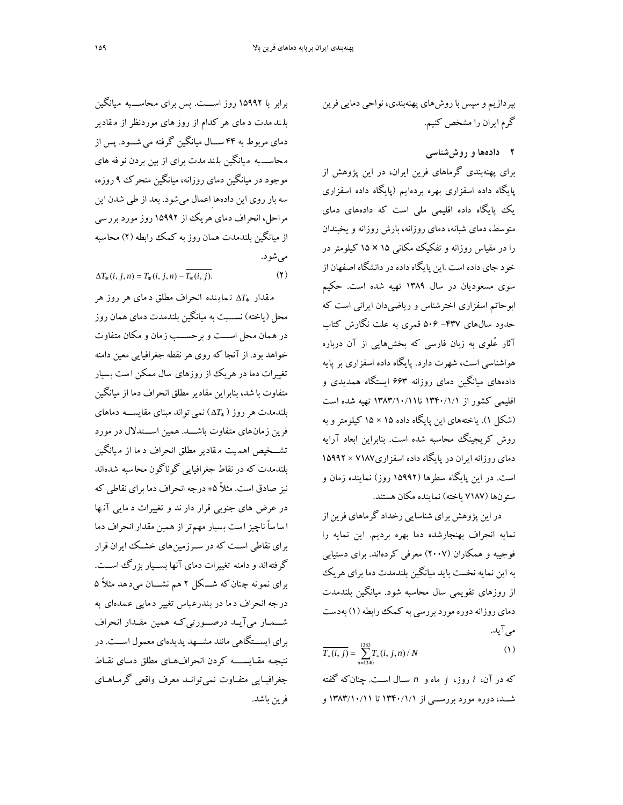بپردازيم و سپس باروشهاي پهنهبندي، نواحي دمايي فرين گرم ايران را مشخص كنيم.

**2 دادهها و روششناسي** 

براي پهنهبندي گرماهاي فرين ايران، در اين پژوهش از پايگاه داده اسفزاري بهره بردهايم (پايگاه داده اسفزاري يك پايگاه داده اقليمي ملي است كه دادههاي دماي متوسط، دماي شبانه، دماي روزانه، بارش روزانه و يخبندان را در مقياس روزانه و تفكيك مكاني 15 × 15 كيلومتر در خود جاي داده است .اين پايگاهدادهدردانشگاه اصفهان از سوي مسعوديان در سال 1389 تهيه شده است. حكيم ابوحاتم اسفزاري اخترشناس و رياضيدان ايراني است كه حدود سال هاي ۴۳۷- ۵۰۶ قمري به علت نگارش كتاب آثار عُلوي به زبان فارسي كه بخشهايي از آن درباره هواشناسي است، شهرت دارد. پايگاه داده اسفزاري بر پايه دادههاي ميانگين دماي روزانه 663 ايستگاه همديدي و اقليمي كشور از 1340/1/1 تا1383/10/11 تهيه شده است (شكل 1). ياختههاي اين پايگاه داده 15 × 15 كيلومتر و به روش كريجينگ محاسبه شده است. بنابراين ابعاد آرايه دماي روزانه ايران در پايگاه داده اسفزاري7187 × 15992 است. در اين پايگاه سطرها (15992 روز) نماينده زمان و ستونها (7187 ياخته) نماينده مكان هستند.

دراين پژوهش براي شناسايي رخداد گرماهاي فرين از نمايه انحراف بهنجارشده دما بهره برديم. اين نمايه را فوجيبه و همكاران (2007) معرفي كردهاند. براي دستيابي به اين نمايه نخست بايد ميانگين بلندمدت دما براي هريك از روزهاي تقويمي سال محاسبه شود. ميانگين بلندمدت دماي روزانهدوره موردبررسي به كمكرابطه(1) بهدست ميآيد.

$$
\overline{T_*(i,j)} = \sum_{n=1340}^{1383} T_*(i,j,n) / N \tag{1}
$$

كه در آن، *i* روز، *j* ماه و *n* ســال اســت. چنانكه گفته شــد، دوره مورد بررســي از 1340/1/1 تا 1383/10/11 و

برابر با 15992 روز اســـت. پس براي محاســـبه ميانگين بل ند مدت د ماي هر كدام از روز هاي موردنظر از م قادير دماي مربوط به 44 ســـال ميانگين گرفته ميشـــود. پس از محاســـ به ميانگين بل ندمدت براي از بين بردن نو فه هاي موجود در ميانگين دماي روزانه، ميانگين متحرك 9 روزه، سه بار روي اين دادههاِاعمال ميشود. بعد از طي شدن اين مراحل، انحراف دماي هريك از 15992 روز مورد بررسي از ميانگين بلندمدت همان روز به كمك رابطه (2) محاسبه ميشود.

$$
\Delta T_{*}(i, j, n) = T_{*}(i, j, n) - T_{*}(i, j). \tag{Y}
$$

مقدار  $\Lambda T_*$  نماينده انحراف مطلق د ماي هر روز هر محل (ياخته) نســـبت به ميانگين بلندمدت دماي همان روز در همان محل اســـت و برحســـب زمان و مكان متفاوت خواهد بود. از آنجا كه روي هرنقطه جغرافيايي معين دامنه تغييرات دما در هريك از روزهاي سال ممكن ا ست ب سيار متفاوت با شد، بنابراين مقاديرمطلق انحراف دما از ميانگين *T* ( نميتواند مبناي مقايســـه دماهاي بلندمدت هرروز ( فرين زمانهاي متفاوت باشـــد. همين اســـتدلال در مورد تشـــخيص اهم يت م قادير مطلق انحراف د ما از م يانگين بلندمدت كه در نقاط جغرافيايي گوناگون محاسبه شدهاند نيز صادق است. مثلاً ۵+ درجه انحراف دما براي نقاطي كه در عرض هاي جنوبي قرار دار ند و تغييرات د مايي آن ها ا ساساً ناچيز ا ست ب سيار مهمتر از همين مقدار انحراف دما براي نقاطي اســت كه در ســرزمينهاي خشــك ايران قرار گرفتهاند ودامنه تغييرات دماي آنها بســيار بزرگ اســت. براي نمونه چ نانكه شـــكل 2 هم نشـــان ميد هد مثلاً 5 درجه انحراف دما در بندرعباس تغيير دمايي عمدهاي به شـــمــار ميآيــد درصـــورتيكــه همين مقــدار انحراف براي ايســتگاهي مانند مشــهد پديدهاي معمول اســت. در نتيجـه مقـايســــه كردن انحرافهـاي مطلق دمـاي نقـاط جغرافيــايي متفــاوت نميتوانــد معرف واقعي گرمــاهــاي فرين باشد.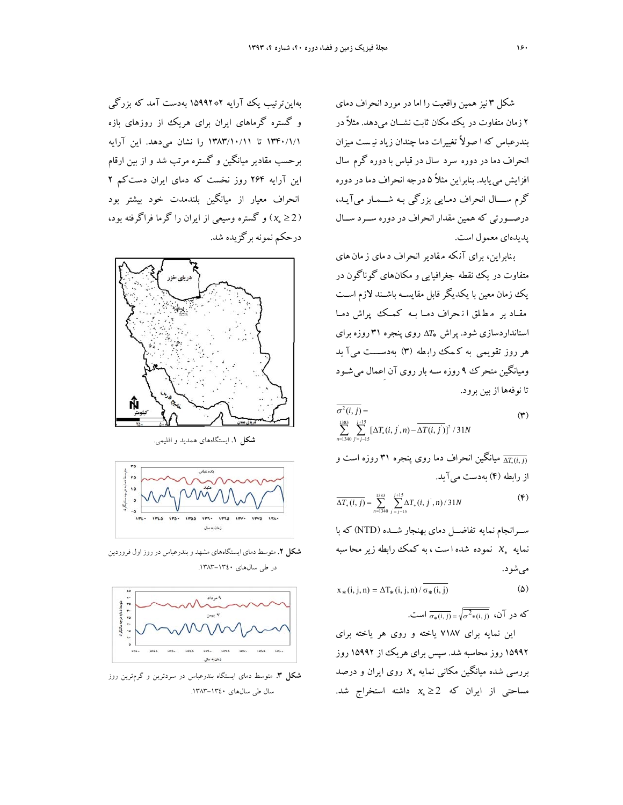شكل 3 نيز همين واقعيت را اما در مورد انحراف دماي 2 زمان متفاوت در يك مكان ثابت نشــان ميدهد. مثلاً در بندرعباس كه ا صولاً تغييرات دما چندان زياد ني ست ميزان انحراف دما در دوره سرد سال در قياس با دوره گرم سال افزايش مييابد. بنابراين مثلاً 5 درجه انحراف دما در دوره گرم ســــال انحراف دمـايي بزرگي بـه شـــمـار ميآيـد، درصــورتي كه همين مقدار انحراف در دوره ســرد ســال پديدهاي معمول است.

ب نابراين، براي آن كه مقادير انحراف د ماي ز مان هاي متفاوت در يك نقطه جغرافيايي و مكانهاي گوناگون در يك زمان معين با يكديگرقابل مقايســه باشــند لازم اســت مقــاد ير م ط لق ا ن حراف دمــا بــه كمــك پراش دمــا *T* روي پنجره 31 روزه براي استانداردسازي شود. پراش هر روز تقويمي به ك مك راب طه (3) بهدســــت ميآ يد وميانگين متحرك 9 روزه سـه بار روي آن اِعمال ميشـود تا نوفهها از بين برود.

$$
\sigma^{2}(i, j) =
$$
\n
$$
\sum_{n=1340}^{1383} \sum_{j=j-15}^{j+15} [\Delta T_{*}(i, j', n) - \Delta T(i, j')]^{2} / 31N
$$
\n
$$
(4.122) \sum_{n=1340}^{1383} \sum_{j=15}^{j+15} [\Delta T_{*}(i, j', n) - \Delta T(i, j')]^{2} / 31N
$$

ميانگين انحراف دما روي پنجره 31 روزه است و ) , (*Tij* از رابطه (4) بهدست ميآيد.

$$
\overline{\Delta T_*(i,j)} = \sum_{n=1340}^{1383} \sum_{j=j-15}^{j+15} \Delta T_*(i,j^{'},n)/31N
$$
 (7)

ســرانجام نمايه تفاضــل دماي بهنجار شــده (NTD (كه با *x* نموده شده ا ست ، به كمك رابطه زير محا سبه نمايه ميشود.

$$
x_*(i, j, n) = \Delta T_*(i, j, n) / \overline{\sigma_*(i, j)}
$$
 (2)

که در آن، 
$$
\overline{\sigma_*(i,j)} = \sqrt{\sigma^2*(i,j)}
$$
 است.

اين نمايه براي 7187 ياخته و روي هر ياخته براي 15992 روزمحاسبه شد. سپس براي هريك از 15992 روز بررسي شده ميانگين مكاني نمايه  $x_*$  روي ايران و درصد *x* داشته استخراج شد. مساحتي از ايران كه 2

بهاينترتيب يك آرايه 2\*15992 بهدست آمد كه بزرگي و گستره گرماهاي ايران براي هريك از روزهاي بازه 1340/1/1 تا 1383/10/11 را نشان ميدهد. اين آرايه برحسب مقادير ميانگين و گستره مرتب شد و از بين ارقام اين آرايه 264 روز نخست كه دماي ايران دستكم 2 انحراف معيار از ميانگين بلندمدت خود بيشتر بود *x* ( و گستره وسيعي از ايران را گرما فراگرفته بود، ) 2 درحكم نمونه برگزيده شد.



**شكل .1** ايستگاههاي همديد و اقليمي.



**شكل .2** متوسط دماي ايستگاههاي مشهد و بندرعباس در روز اول فروردين در طي سال هاي ١٣٤٠-١٣٨٣.



**شكل .3** متوسط دماي ايستگاه بندرعباس در سردترين و گرمترين روز سال طي سالهاي .1383-1340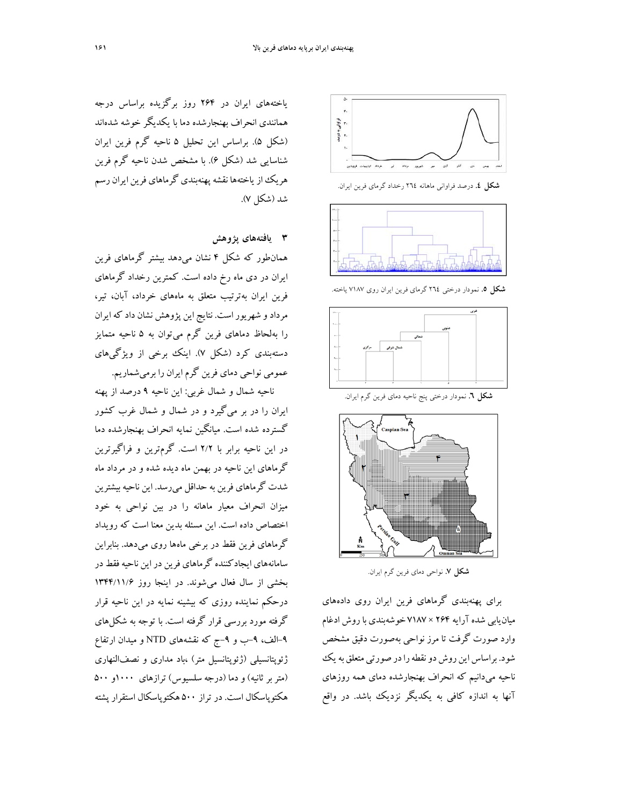

**شكل .4** درصد فراواني ماهانه 264 رخداد گرماي فرين ايران.



**شكل .5** نمودار درختي 264 گرماي فرين ايران روي 7187 ياخته.



**شكل .6** نمودار درختي پنج ناحيه دماي فرين گرم ايران.



**شكل .7** نواحي دماي فرين گرم ايران.

براي پهنهبندي گرماهاي فرين ايران روي دادههاي ميانيابي شدهآرايه 264 × 7187 خوشهبندي باروش ادغام وارد صورت گرفت تا مرز نواحي بهصورت دقيق مشخص شود. براساس اين روش دو نقطه را در صورتي متعلق به يك ناحيه ميدانيم كه انحراف بهنجارشده دماي همه روزهاي آنها به اندازه كافي به يكديگر نزديك باشد. در واقع

ياختههاي ايران در 264 روز برگزيده براساس درجه همانندي انحراف بهنجارشده دما با يكديگر خوشه شدهاند (شكل 5). براساس اين تحليل 5 ناحيه گرم فرين ايران شناسايي شد (شكل 6). با مشخص شدن ناحيه گرم فرين هريك ازياختهها نقشهپهنهبندي گرماهاي فرين ايران رسم شد (شكل 7).

**3 يافتههاي پژوهش** 

همانطور كه شكل 4 نشان ميدهد بيشتر گرماهاي فرين ايران در دي ماه رخ داده است. كمترين رخداد گرماهاي فرين ايران بهترتيب متعلق به ماههاي خرداد، آبان، تير، مردادو شهريوراست. نتايج اين پژوهش نشان داد كه ايران را بهلحاظ دماهاي فرين گرم ميتوان به 5 ناحيه متمايز دستهبندي كرد (شكل 7). اينك برخي از ويژگيهاي عمومي نواحي دماي فرين گرم ايران را برميشماريم.

ناحيه شمال و شمال غربي: اين ناحيه 9 درصد از پهنه ايران را در بر ميگيرد و در شمال و شمال غرب كشور گسترده شده است. ميانگين نمايه انحراف بهنجارشده دما در اين ناحيه برابر با 2/2 است. گرمترين و فراگيرترين گرماهاي اين ناحيه در بهمن ماه ديده شده و در مرداد ماه شدت گرماهاي فرين به حداقل ميرسد. اين ناحيه بيشترين ميزان انحراف معيار ماهانه را در بين نواحي به خود اختصاص داده است. اين مسئله بدين معنا است كه رويداد گرماهاي فرين فقط در برخي ماهها روي ميدهد. بنابراين سامانههاي ايجادكننده گرماهاي فرين در اين ناحيه فقط در بخشي از سال فعال ميشوند. در اينجا روز 1344/11/6 درحكم نماينده روزي كه بيشينه نمايه در اين ناحيه قرار گرفته مورد بررسي قرار گرفته است. با توجه به شكلهاي -9الف، -9ب و -9ج كه نقشههاي NTD و ميدان ارتفاع ژئوپتانسيلي (ژئوپتانسيل متر) ،باد مداري و نصفالنهاري (متربر ثانيه) و دما (درجه سلسيوس) ترازهاي ١٠٠٠و ٥٠٠ هكتوپاسكال است. در تراز 500 هكتوپاسكال استقرار پشته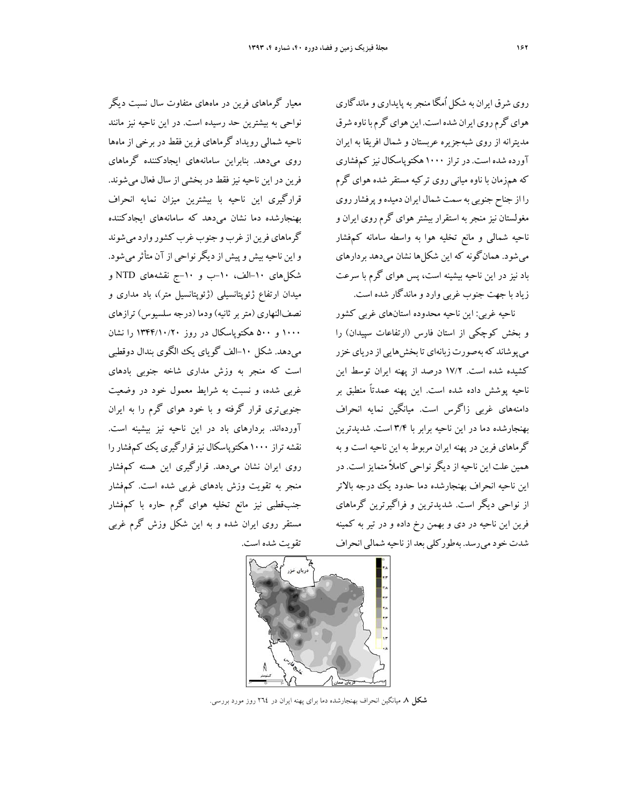روي شرق ايران به شكل اُمگا منجربهپايداري وماندگاري هواي گرم روي ايران شده است. اين هواي گرم با ناوه شرق مديترانه از روي شبهجزيره عربستان و شمال افريقا به ايران آورده شده است.درتراز 1000 هكتوپاسكال نيز كمفشاري كه همزمان با ناوه مياني روي تركيه مستقر شده هواي گرم را از جناح جنوبي به سمت شمال ايران دميده و پرفشار روي مغولستان نيز منجربه استقرار بيشتر هواي گرم روي ايران و ناحيه شمالي و مانع تخليه هوا به واسطه سامانه كمفشار ميشود. همانگونه كه اين شكلها نشان ميدهد بردارهاي باد نيز در اين ناحيه بيشينه است، پس هواي گرم با سرعت زياد با جهت جنوب غربي وارد وماندگار شده است.

ناحيه غربي: اين ناحيه محدوده استانهاي غربي كشور و بخش كوچكي از استان فارس (ارتفاعات سپيدان) را مي پوشاند كه بهصورت زبانهاي تا بخش هايي از درياي خزر كشيده شده است. 17/2 درصد از پهنه ايران توسط اين ناحيه پوشش داده شده است. اين پهنه عمدتاً منطبق بر دامنههاي غربي زاگرس است. ميانگين نمايه انحراف بهنجارشده دما در اين ناحيه برابر با 3/4 است. شديدترين گرماهاي فرين در پهنه ايران مربوط به اين ناحيه است و به همين علت اين ناحيه ازديگرنواحي كاملاً متمايزاست. در اين ناحيه انحراف بهنجارشده دما حدود يك درجه بالاتر از نواحي ديگر است. شديدترين و فراگيرترين گرماهاي فرين اين ناحيه در دي و بهمن رخ داده و در تير به كمينه شدت خود مي رسد. بهطور كلي بعد از ناحيه شمالي انحراف

معيار گرماهاي فرين در ماههاي متفاوت سال نسبت ديگر نواحي به بيشترين حد رسيده است. در اين ناحيه نيز مانند ناحيه شمالي رويداد گرماهاي فرين فقط در برخي از ماهها روي ميدهد. بنابراين سامانههاي ايجادكننده گرماهاي فرين در اين ناحيه نيزفقط در بخشي از سال فعال ميشوند. قرارگيري اين ناحيه با بيشترين ميزان نمايه انحراف بهنجارشده دما نشان ميدهد كه سامانههاي ايجادكننده گرماهاي فرين از غرب و جنوب غرب كشور وارد مي شوند واين ناحيه بيش وپيش از ديگر نواحي از آن متأثر مي شود. شكلهاي -10الف، -10ب و -10ج نقشههاي NTD و ميدان ارتفاع ژئوپتانسيلي (ژئوپتانسيل متر)، باد مداري و نصفالنهاري (متربرثانيه) ودما (درجه سلسيوس) ترازهاي 1000 و 500 هكتوپاسكال در روز 1344/10/20 را نشان ميدهد. شكل -10الف گوياي يك الگوي بندال دوقطبي است كه منجر به وزش مداري شاخه جنوبي بادهاي غربي شده، و نسبت به شرايط معمول خود در وضعيت جنوبيتري قرار گرفته و با خود هواي گرم را به ايران آوردهاند. بردارهاي باد در اين ناحيه نيز بيشينه است. نقشه تراز ۱۰۰۰ هكتوپاسكال نيز قرارگيري يك كمفشار را روي ايران نشان ميدهد. قرارگيري اين هسته كمفشار منجر به تقويت وزش بادهاي غربي شده است. كمفشار جنبقطبي نيز مانع تخليه هواي گرم حاره با كمفشار مستقر روي ايران شده و به اين شكل وزش گرم غربي تقويت شده است.



**شكل .8** ميانگين انحراف بهنجارشده دما براي پهنه ايران در 264 روز مورد بررسي.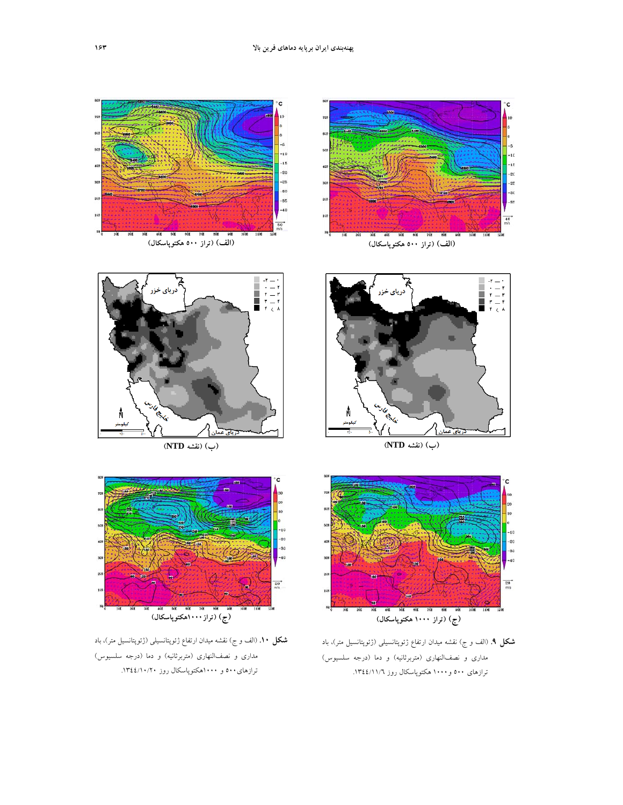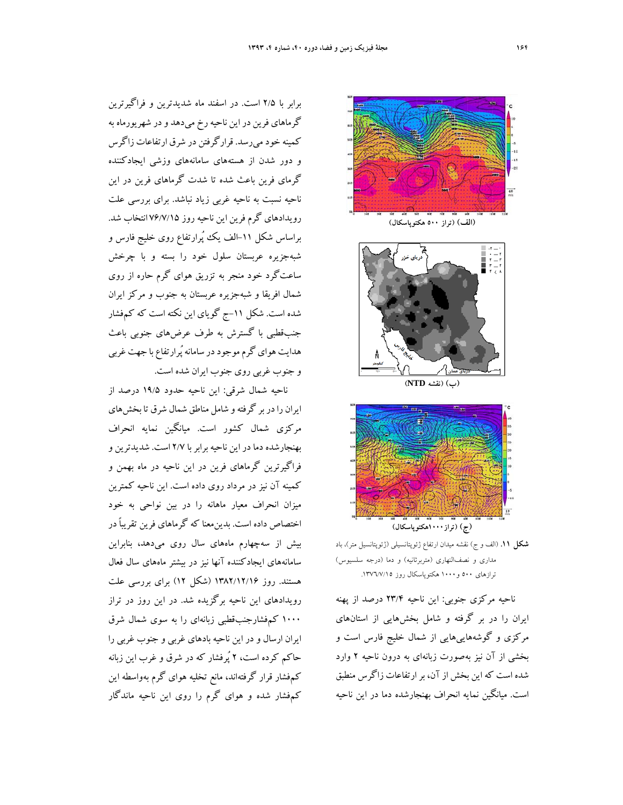برابر با 2/5 است. در اسفند ماه شديدترين و فراگيرترين گرماهاي فرين دراين ناحيهرخ ميدهد ودر شهريورماه به كمينه خودميرسد. قرارگرفتن در شرق ارتفاعات زاگرس و دور شدن از هستههاي سامانههاي وزشي ايجادكننده گرماي فرين باعث شده تا شدت گرماهاي فرين در اين ناحيه نسبت به ناحيه غربي زياد نباشد. براي بررسي علت رويدادهاي گرم فرين اين ناحيه روز 76/7/15 انتخاب شد. براساس شكل ۱۱–الف يك پُرارتفاع روى خليج فارس و شبهجزيره عربستان سلول خود را بسته و با چرخش ساعتگرد خود منجر به تزريق هواي گرم حاره از روي شمال افريقا و شبهجزيره عربستان به جنوب و مركز ايران شده است. شكل -11ج گوياي اين نكته است كه كمفشار جنبقطبي با گسترش به طرف عرضهاي جنوبي باعث هدايت هوايگرمموجوددر سامانهپُرارتفاع با جهت غربي و جنوب غربي روي جنوب ايران شده است.

ناحيه شمال شرقي: اين ناحيه حدود 19/5 درصد از ايران رادربر گرفتهو شامل مناطق شمال شرق تا بخشهاي مركزي شمال كشور است. ميانگين نمايه انحراف بهنجارشده دما در اين ناحيه برابربا 2/7 است. شديدترين و فراگيرترين گرماهاي فرين در اين ناحيه در ماه بهمن و كمينه آن نيز در مرداد روي داده است. اين ناحيه كمترين ميزان انحراف معيار ماهانه را در بين نواحي به خود اختصاص داده است. بدينمعنا كه گرماهاي فرين تقريباً در بيش از سهچهارم ماههاي سال روي ميدهد، بنابراين سامانههاي ايجادكننده آنها نيز در بيشتر ماههاي سال فعال هستند. روز 1382/12/16 (شكل 12) براي بررسي علت رويدادهاي اين ناحيه برگزيده شد. در اين روز در تراز 1000 كمفشارجنبقطبي زبانهاي را به سوي شمال شرق ايران ارسال و در اين ناحيه بادهاي غربي و جنوب غربي را حاكم كرده است، 2 پُرفشار كه در شرق و غرب اين زبانه كمفشار قرار گرفتهاند، مانع تخليه هواي گرم بهواسطه اين كمفشار شده و هواي گرم را روي اين ناحيه ماندگار





**(ب) (نقشه NTD (**



**شكل .11** (الف و ج) نقشه ميدان ارتفاع ژئوپتانسيلي (ژئوپتانسيل متر)، باد مداري و نصفالنهاري (متربرثانيه) و دما (درجه سلسيوس) ترازهاي ٥٠٠ و ١٠٠٠ هكتوپاسكال روز ١٣٧٦/٧/١٥.

ناحيه مركزي جنوبي: اين ناحيه 23/4 درصد از پهنه ايران را در بر گرفته و شامل بخشهايي از استانهاي مركزي و گوشههاييهايي از شمال خليج فارس است و بخشي از آن نيز بهصورت زبانهاي به درون ناحيه 2 وارد شده است كه اين بخش ازآن، برارتفاعات زاگرس منطبق است. ميانگين نمايه انحراف بهنجارشده دما در اين ناحيه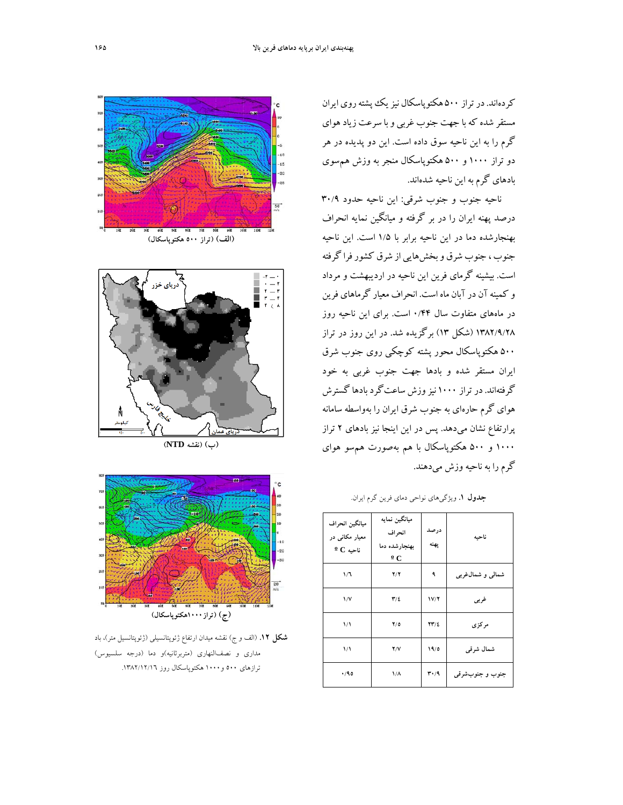كردهاند. درتراز 500 هكتوپاسكال نيزيكپشتهروي ايران مستقر شده كه با جهت جنوب غربي و با سرعت زياد هواي گرم را به اين ناحيه سوق داده است. اين دو پديده در هر دو تراز 1000 و 500 هكتوپاسكال منجر به وزش همسوي بادهاي گرم به اين ناحيه شدهاند.

ناحيه جنوب و جنوب شرقي: اين ناحيه حدود 30/9 درصد پهنه ايران را در بر گرفته و ميانگين نمايه انحراف بهنجارشده دما در اين ناحيه برابر با 1/5 است. اين ناحيه جنوب ، جنوب شرق وبخشهايي از شرق كشورفرا گرفته است. بيشينه گرماي فرين اين ناحيه در ارديبهشت و مرداد و كمينهآن درآبان ماه است. انحراف معيار گرماهاي فرين در ماههاي متفاوت سال 0/44 است. براي اين ناحيه روز 1382/9/28 (شكل 13) برگزيده شد. در اين روز در تراز 500 هكتوپاسكال محور پشته كوچكي روي جنوب شرق ايران مستقر شده و بادها جهت جنوب غربي به خود گرفتهاند.درتراز 1000 نيزوزش ساعتگردبادها گسترش هواي گرم حارهاي به جنوب شرق ايران را بهواسطه سامانه پرارتفاع نشان ميدهد. پس در اين اينجا نيز بادهاي 2 تراز 1000 و 500 هكتوپاسكال با هم بهصورت همسو هواي گرم را به ناحيه وزش ميدهند.

| ميانگين انحراف<br>معیار مکانی در<br>$^{\circ}$ C ناحيه | ميانگين نمايه<br>انحراف<br>بهنجارشده دما<br>$\mathbf{C}$ | درصد<br>يهنه                      | ناحبه             |
|--------------------------------------------------------|----------------------------------------------------------|-----------------------------------|-------------------|
| ۱Д                                                     | Y/Y                                                      | ٩                                 | شمالی و شمال،غربی |
| $\sqrt{V}$                                             | $\mathbf{r}/\mathbf{r}$                                  | V/T                               | غربى              |
| $\frac{1}{2}$                                          | Y/0                                                      | $\mathbf{Y}\mathbf{Y}/\mathbf{Z}$ | مرکزی             |
| $\frac{1}{2}$                                          | Y/V                                                      | 19/0                              | شمال شرقی         |
| .40                                                    | $1/\Lambda$                                              | $r \cdot 4$                       | جنوب و جنوبشرقبي  |







**(ب) (نقشه NTD (**



**شكل .12** (الف و ج) نقشه ميدان ارتفاع ژئوپتانسيلي (ژئوپتانسيل متر)، باد مداري و نصفالنهاري (متربرثانيه)و دما (درجه سلسيوس) ترازهاي ٥٠٠ و١٠٠٠ هكتوپاسكال روز ١٣٨٢/١٢/١٦.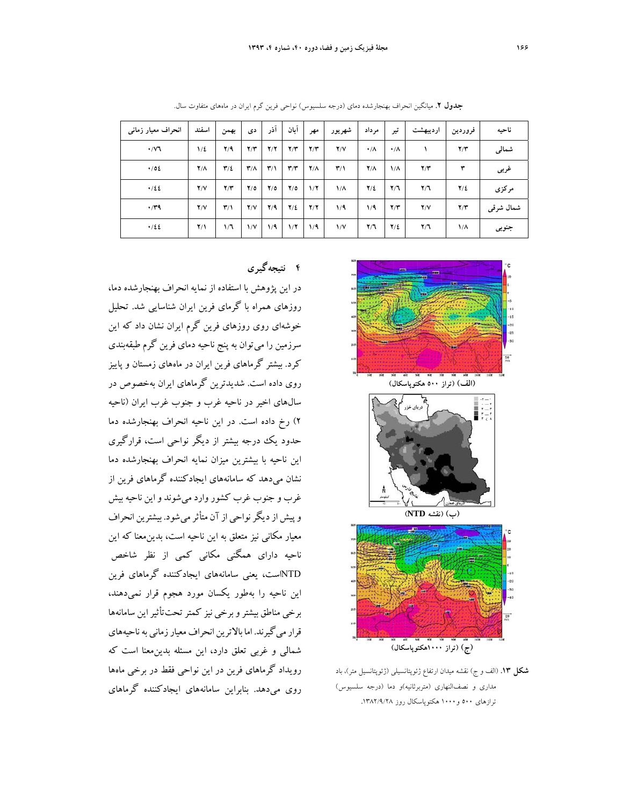| انحراف معیار زمانی | اسفند        | بهمن                    | دی                      | آذر                     | آبان                    | مهر         | شهريور                  | مر داد          | تير                     | ارديبهشت | فروردين      | ناحيه     |
|--------------------|--------------|-------------------------|-------------------------|-------------------------|-------------------------|-------------|-------------------------|-----------------|-------------------------|----------|--------------|-----------|
| $\cdot$ / $\vee$ 1 | $1/\epsilon$ | Y/9                     | Y/Y                     | Y/Y                     | Y/Y                     | Y/Y         | Y/Y                     | $\cdot/\Lambda$ | $\cdot/\Lambda$         |          | Y/Y          | شمالى     |
| $\cdot$ /02        | $Y/\Lambda$  | $\mathbf{r}/\mathbf{r}$ | $\mathbf{r}/\mathbf{r}$ | $\mathbf{r}/\mathbf{1}$ | $\mathbf{r}/\mathbf{r}$ | $Y/\Lambda$ | $\mathbf{r}/\mathbf{v}$ | $Y/\Lambda$     | $1/\Lambda$             | Y/Y      | ٣            | غربى      |
| .122               | Y/Y          | Y/Y                     | Y/O                     | $Y/\circ$               | $Y/\circ$               | 1/7         | $1/\Lambda$             | $Y/\Sigma$      | $\mathbf{Y}/\mathbf{T}$ | Y/T      | $Y/\epsilon$ | مركزى     |
| $\cdot$ /۳۹        | Y/Y          | $\mathbf{r}/\mathbf{1}$ | Y/Y                     | Y/9                     | $Y/\epsilon$            | Y/Y         | 1/9                     | 1/9             | Y/Y                     | Y/Y      | Y/Y          | شمال شرقى |
| .122               | $Y/\lambda$  | 1/7                     | $\sqrt{}$               | 1/9                     | 1/7                     | 1/9         | $\sqrt{V}$              | Y/T             | $Y/\Sigma$              | Y/T      | $1/\Lambda$  | جنوبي     |

**جدول .2** ميانگين انحراف بهنجارشده دماي (درجه سلسيوس) نواحي فرين گرم ايران در ماههاي متفاوت سال.



**شكل .13** (الف و ج) نقشه ميدان ارتفاع ژئوپتانسيلي (ژئوپتانسيل متر)، باد مداري و نصفالنهاري (متربرثانيه)و دما (درجه سلسيوس) ترازهاي 500 و1000 هكتوپاسكال روز **.**1382/9/28

### **4 نتيجهگيري**

در اين پژوهش با استفاده از نمايه انحراف بهنجارشده دما، روزهاي همراه با گرماي فرين ايران شناسايي شد. تحليل خوشهاي روي روزهاي فرين گرم ايران نشان داد كه اين سرزمين را ميتوان به پنج ناحيه دماي فرين گرم طبقهبندي كرد. بيشتر گرماهاي فرين ايران در ماههاي زمستان و پاييز روي داده است. شديدترين گرماهاي ايران بهخصوص در سالهاي اخير در ناحيه غرب و جنوب غرب ايران (ناحيه 2) رخ داده است. در اين ناحيه انحراف بهنجارشده دما حدود يك درجه بيشتر از ديگر نواحي است، قرارگيري اين ناحيه با بيشترين ميزان نمايه انحراف بهنجارشده دما نشان ميدهد كه سامانههاي ايجادكننده گرماهاي فرين از غرب و جنوب غرب كشور وارد مي شوند و اين ناحيه بيش وپيش ازديگرنواحي ازآن متأثرميشود. بيشترين انحراف معيار مكاني نيز متعلق به اين ناحيه است، بدينمعنا كه اين ناحيه داراي همگني مكاني كمي از نظر شاخص NTDاست، يعني سامانههاي ايجادكننده گرماهاي فرين اين ناحيه را بهطور يكسان مورد هجوم قرار نميدهند، برخي مناطق بيشتروبرخي نيز كمترتحتتأثيراين سامانهها قرار مي گيرند. اما بالاترين انحراف معيار زماني به ناحيههاي شمالي و غربي تعلق دارد، اين مسئله بدينمعنا است كه رويداد گرماهاي فرين در اين نواحي فقط در برخي ماهها روي ميدهد. بنابراين سامانههاي ايجادكننده گرماهاي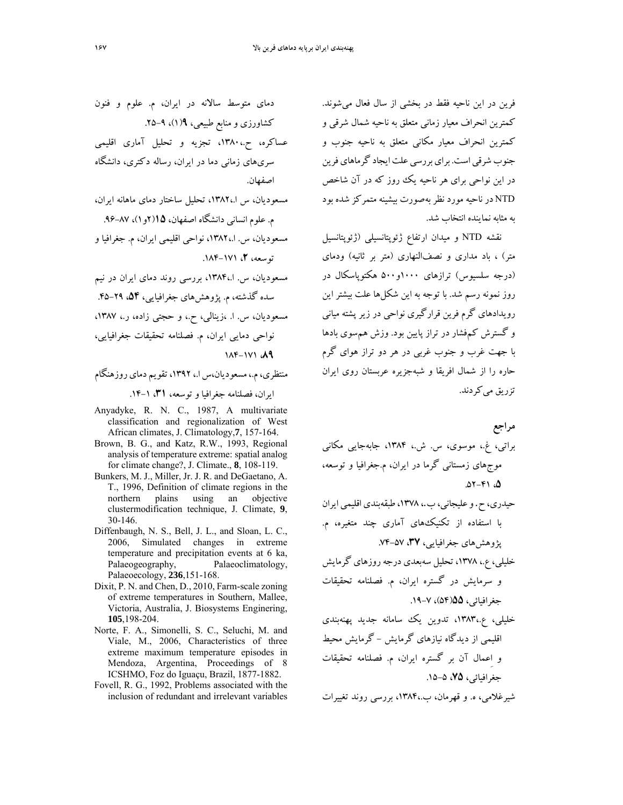فرين در اين ناحيه فقط در بخشي از سال فعال مي شوند. كمترين انحراف معيار زماني متعلق به ناحيه شمال شرقي و كمترين انحراف معيار مكاني متعلق به ناحيه جنوب و جنوب شرقي است. براي بررسي علت ايجاد گر ماهاي فرين در اين نواحي براي هر ناحيه يك روز كه در آن شاخص NTD در ناحيه مورد نظربهصورت بيشينه متمركز شده بود به مثابه نماينده انتخاب شد.

نقشه NTD و ميدان ارتفاع ژئوپتانسيلي (ژئوپتانسيل متر) ، باد مداري و نصفالنهاري (متر بر ثانيه) ودماي (درجه سلسيوس) ترازهاي 1000و500 هكتوپاسكال در روز نمونه رسم شد. با توجه به اين شكلها علت بيشتر اين رويدادهاي گرم فرين قرارگيري نواحي در زير پشته مياني و گسترش كمفشار در تراز پايين بود. وزش همسوي بادها با جهت غرب و جنوب غربي در هر دو تراز هواي گرم حاره را از شمال افريقا و شبهجزيره عربستان روي ايران تزريق مي كردند.

**مراجع**  براتي، غ،. موسوي، س. ش،. ،1384 جابهجايي مكاني موجهاي زمستاني گرما در ايران، م.جغرافيا و توسعه، .52-41 ،**5**

- حيدري، ح. و عليجاني، ب.، ١٣٧٨، طبقهبندي اقليمي ايران با استفاده از تكنيكهاي آماري چند متغيره، م. پژوهشهاي جغرافيايي، ،**37** .74-57
- خليلي، ع،. ،1378 تحليل سهبعدي درجهروزهاي گرمايش و سرمايش در گستره ايران، م. فصلنامه تحقيقات جغرافيائي، 2**0**(۵۴)، ۷–۱۹.
- خليلي، ع،1383،. تدوين يك سامانه جديد پهنهبندي اقليمي از ديدگاه نيازهاي گرمايش - گرمايش محيط و اِعمال آن بر گستره ايران، م. فصلنامه تحقيقات جغرافيائي، ،**75** .15-5

شيرغلامي، ه. و قهرمان، ب،1384،. بررسي روند تغييرات

دماي متوسط سالانه در ايران، م. علوم و فنون كشاورزي ومنابع طبيعي، **9**(1)، .25-9

- عساكره، ح،1380،. تجزيه و تحليل آماري اقليمي سريهاي زماني دما در ايران، رساله دكتري، دانشگاه اصفهان.
- مسعوديان، س ا،1382،. تحليل ساختار دماي ماهانه ايران، م. علوم انساني دانشگاه اصفهان، **15**(2و1)، .96-87
- مسعوديان، س. ا،1382،. نواحي اقليمي ايران، م. جغرافيا و توسعه، ،**2** .184-171
- مسعوديان، س. ا،1384،. بررسي روند دماي ايران در نيم سده گذشته، م. پژوهشهاي جغرافيايي، ،**54** .45-29 مسعوديان، س. ا. ،زينالي، ح،. و حجتي زاده، ر،. ،1387 نواحي دمايي ايران، م. فصلنامه تحقيقات جغرافيايي،

# 184-171 ،**89**

منتظري،م،. مسعوديان،س ا،. ،1392 تقويم دمايروزهنگام ايران، فصلنامه جغرافيا و توسعه، ،**31** .14-1

- Anyadyke, R. N. C., 1987, A multivariate classification and regionalization of West African climates, J. Climatology,**7**, 157-164.
- Brown, B. G., and Katz, R.W., 1993, Regional analysis of temperature extreme: spatial analog for climate change?, J. Climate., **8**, 108-119.
- Bunkers, M. J., Miller, Jr. J. R. and DeGaetano, A. T., 1996, Definition of climate regions in the northern plains using an objective clustermodification technique, J. Climate, **9**, 30-146.
- Diffenbaugh, N. S., Bell, J. L., and Sloan, L. C., 2006, Simulated changes in extreme temperature and precipitation events at 6 ka,<br>Palaeogeography, Palaeoclimatology, Palaeoclimatology, Palaeoecology, **236**,151-168.
- Dixit, P. N. and Chen, D., 2010, Farm-scale zoning of extreme temperatures in Southern, Mallee, Victoria, Australia, J. Biosystems Enginering, **105**,198-204.
- Norte, F. A., Simonelli, S. C., Seluchi, M. and Viale, M., 2006, Characteristics of three extreme maximum temperature episodes in Mendoza, Argentina, Proceedings of 8 ICSHMO, Foz do Iguaçu, Brazil, 1877-1882.
- Fovell, R. G., 1992, Problems associated with the inclusion of redundant and irrelevant variables